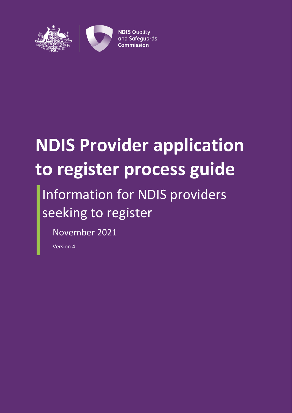

# **NDIS Provider application to register process guide**

## Information for NDIS providers seeking to register

November 2021

Version 4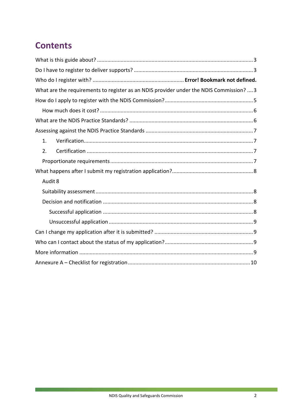## **Contents**

| What are the requirements to register as an NDIS provider under the NDIS Commission?  3 |  |
|-----------------------------------------------------------------------------------------|--|
|                                                                                         |  |
|                                                                                         |  |
|                                                                                         |  |
|                                                                                         |  |
| 1.                                                                                      |  |
| 2.                                                                                      |  |
|                                                                                         |  |
|                                                                                         |  |
| Audit 8                                                                                 |  |
|                                                                                         |  |
|                                                                                         |  |
|                                                                                         |  |
|                                                                                         |  |
|                                                                                         |  |
|                                                                                         |  |
|                                                                                         |  |
|                                                                                         |  |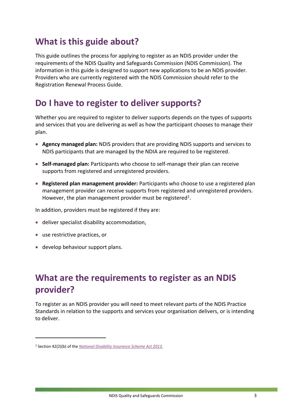## <span id="page-2-0"></span>**What is this guide about?**

This guide outlines the process for applying to register as an NDIS provider under the requirements of the NDIS Quality and Safeguards Commission (NDIS Commission). The information in this guide is designed to support new applications to be an NDIS provider. Providers who are currently registered with the NDIS Commission should refer to the Registration Renewal Process Guide.

## <span id="page-2-1"></span>**Do I have to register to deliver supports?**

Whether you are required to register to deliver supports depends on the types of supports and services that you are delivering as well as how the participant chooses to manage their plan.

- **Agency managed plan:** NDIS providers that are providing NDIS supports and services to NDIS participants that are managed by the NDIA are required to be registered.
- **Self-managed plan:** Participants who choose to self-manage their plan can receive supports from registered and unregistered providers.
- **Registered plan management provider:** Participants who choose to use a registered plan management provider can receive supports from registered and unregistered providers. However, the plan management provider must be registered<sup>1</sup>.

In addition, providers must be registered if they are:

- deliver specialist disability accommodation,
- use restrictive practices, or

-

develop behaviour support plans.

## <span id="page-2-2"></span>**What are the requirements to register as an NDIS provider?**

To register as an NDIS provider you will need to meet relevant parts of the NDIS Practice Standards in relation to the supports and services your organisation delivers, or is intending to deliver.

<sup>1</sup> Section 42(2)(b) of the *[National Disability Insurance Scheme Act 2013](https://www.legislation.gov.au/Details/C2016C00934)*.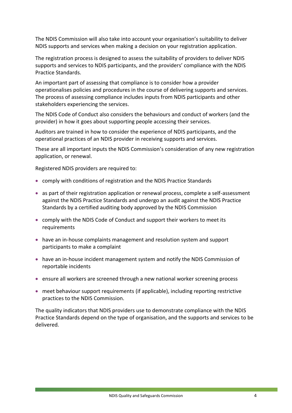The NDIS Commission will also take into account your organisation's suitability to deliver NDIS supports and services when making a decision on your registration application.

The registration process is designed to assess the suitability of providers to deliver NDIS supports and services to NDIS participants, and the providers' compliance with the NDIS Practice Standards.

An important part of assessing that compliance is to consider how a provider operationalises policies and procedures in the course of delivering supports and services. The process of assessing compliance includes inputs from NDIS participants and other stakeholders experiencing the services.

The NDIS Code of Conduct also considers the behaviours and conduct of workers (and the provider) in how it goes about supporting people accessing their services.

Auditors are trained in how to consider the experience of NDIS participants, and the operational practices of an NDIS provider in receiving supports and services.

These are all important inputs the NDIS Commission's consideration of any new registration application, or renewal.

Registered NDIS providers are required to:

- comply with conditions of registration and the NDIS Practice Standards
- as part of their registration application or renewal process, complete a self-assessment against the NDIS Practice Standards and undergo an audit against the NDIS Practice Standards by a certified auditing body approved by the NDIS Commission
- comply with the NDIS Code of Conduct and support their workers to meet its requirements
- have an in-house complaints management and resolution system and support participants to make a complaint
- have an in-house incident management system and notify the NDIS Commission of reportable incidents
- ensure all workers are screened through a new national worker screening process
- meet behaviour support requirements (if applicable), including reporting restrictive practices to the NDIS Commission.

The quality indicators that NDIS providers use to demonstrate compliance with the NDIS Practice Standards depend on the type of organisation, and the supports and services to be delivered*.*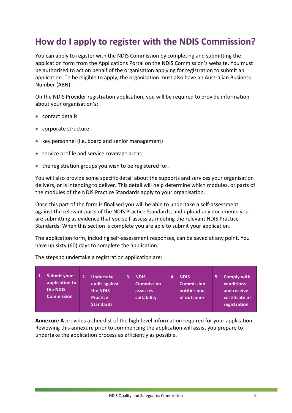## <span id="page-4-0"></span>**How do I apply to register with the NDIS Commission?**

You can apply to register with the NDIS Commission by completing and submitting the application form from the Applications Portal on the NDIS Commission's website. You must be authorised to act on behalf of the organisation applying for registration to submit an application. To be eligible to apply, the organisation must also have an Australian Business Number (ABN).

On the NDIS Provider registration application, you will be required to provide information about your organisation's:

- contact details
- corporate structure
- key personnel (i.e. board and senior management)
- service profile and service coverage areas
- the registration groups you wish to be registered for.

You will also provide some specific detail about the supports and services your organisation delivers, or is intending to deliver. This detail will help determine which modules, or parts of the modules of the NDIS Practice Standards apply to your organisation.

Once this part of the form is finalised you will be able to undertake a self-assessment against the relevant parts of the NDIS Practice Standards, and upload any documents you are submitting as evidence that you self-assess as meeting the relevant NDIS Practice Standards. When this section is complete you are able to submit your application.

The application form, including self-assessment responses, can be saved at any point. You have up sixty (60) days to complete the application.

**1. Submit your application to the NDIS Commission 2. Undertake audit against the NDIS Practice Standards 3. NDIS Commission assesses suitability 4. NDIS Commission notifies you of outcome 5. Comply with conditions and receive certificate of registration**

The steps to undertake a registration application are:

**Annexure A** provides a checklist of the high-level information required for your application. Reviewing this annexure prior to commencing the application will assist you prepare to undertake the application process as efficiently as possible.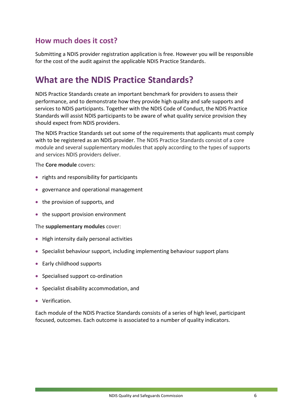#### <span id="page-5-0"></span>**How much does it cost?**

Submitting a NDIS provider registration application is free. However you will be responsible for the cost of the audit against the applicable NDIS Practice Standards.

## <span id="page-5-1"></span>**What are the NDIS Practice Standards?**

NDIS Practice Standards create an important benchmark for providers to assess their performance, and to demonstrate how they provide high quality and safe supports and services to NDIS participants. Together with the NDIS Code of Conduct, the NDIS Practice Standards will assist NDIS participants to be aware of what quality service provision they should expect from NDIS providers.

The NDIS Practice Standards set out some of the requirements that applicants must comply with to be registered as an NDIS provider. The NDIS Practice Standards consist of a core module and several supplementary modules that apply according to the types of supports and services NDIS providers deliver.

The **Core module** covers:

- rights and responsibility for participants
- governance and operational management
- the provision of supports, and
- the support provision environment

The **supplementary modules** cover:

- High intensity daily personal activities
- Specialist behaviour support, including implementing behaviour support plans
- Early childhood supports
- Specialised support co-ordination
- Specialist disability accommodation, and
- Verification.

Each module of the NDIS Practice Standards consists of a series of high level, participant focused, outcomes. Each outcome is associated to a number of quality indicators.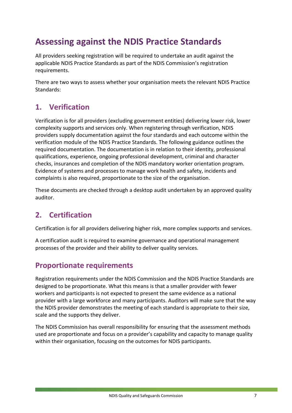## <span id="page-6-0"></span>**Assessing against the NDIS Practice Standards**

All providers seeking registration will be required to undertake an audit against the applicable NDIS Practice Standards as part of the NDIS Commission's registration requirements.

There are two ways to assess whether your organisation meets the relevant NDIS Practice Standards:

#### <span id="page-6-1"></span>**1. Verification**

Verification is for all providers (excluding government entities) delivering lower risk, lower complexity supports and services only. When registering through verification, NDIS providers supply documentation against the four standards and each outcome within the verification module of the NDIS Practice Standards. The following guidance outlines the required documentation. The documentation is in relation to their identity, professional qualifications, experience, ongoing professional development, criminal and character checks, insurances and completion of the NDIS mandatory worker orientation program. Evidence of systems and processes to manage work health and safety, incidents and complaints is also required, proportionate to the size of the organisation.

These documents are checked through a desktop audit undertaken by an approved quality auditor.

#### <span id="page-6-2"></span>**2. Certification**

Certification is for all providers delivering higher risk, more complex supports and services.

A certification audit is required to examine governance and operational management processes of the provider and their ability to deliver quality services.

#### <span id="page-6-3"></span>**Proportionate requirements**

Registration requirements under the NDIS Commission and the NDIS Practice Standards are designed to be proportionate. What this means is that a smaller provider with fewer workers and participants is not expected to present the same evidence as a national provider with a large workforce and many participants. Auditors will make sure that the way the NDIS provider demonstrates the meeting of each standard is appropriate to their size, scale and the supports they deliver.

The NDIS Commission has overall responsibility for ensuring that the assessment methods used are proportionate and focus on a provider's capability and capacity to manage quality within their organisation, focusing on the outcomes for NDIS participants.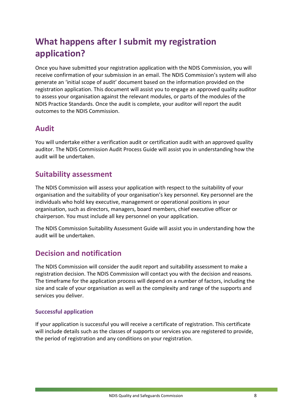## <span id="page-7-0"></span>**What happens after I submit my registration application?**

Once you have submitted your registration application with the NDIS Commission, you will receive confirmation of your submission in an email. The NDIS Commission's system will also generate an 'initial scope of audit' document based on the information provided on the registration application. This document will assist you to engage an approved quality auditor to assess your organisation against the relevant modules, or parts of the modules of the NDIS Practice Standards. Once the audit is complete, your auditor will report the audit outcomes to the NDIS Commission.

#### <span id="page-7-1"></span>**Audit**

You will undertake either a verification audit or certification audit with an approved quality auditor. The NDIS Commission Audit Process Guide will assist you in understanding how the audit will be undertaken.

#### <span id="page-7-2"></span>**Suitability assessment**

The NDIS Commission will assess your application with respect to the suitability of your organisation and the suitability of your organisation's key personnel. Key personnel are the individuals who hold key executive, management or operational positions in your organisation, such as directors, managers, board members, chief executive officer or chairperson. You must include all key personnel on your application.

The NDIS Commission Suitability Assessment Guide will assist you in understanding how the audit will be undertaken.

#### <span id="page-7-3"></span>**Decision and notification**

The NDIS Commission will consider the audit report and suitability assessment to make a registration decision. The NDIS Commission will contact you with the decision and reasons. The timeframe for the application process will depend on a number of factors, including the size and scale of your organisation as well as the complexity and range of the supports and services you deliver.

#### <span id="page-7-4"></span>**Successful application**

If your application is successful you will receive a certificate of registration. This certificate will include details such as the classes of supports or services you are registered to provide, the period of registration and any conditions on your registration.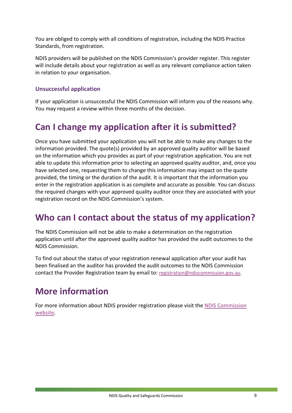You are obliged to comply with all conditions of registration, including the NDIS Practice Standards, from registration.

NDIS providers will be published on the NDIS Commission's provider register. This register will include details about your registration as well as any relevant compliance action taken in relation to your organisation.

#### <span id="page-8-0"></span>**Unsuccessful application**

If your application is unsuccessful the NDIS Commission will inform you of the reasons why. You may request a review within three months of the decision.

## <span id="page-8-1"></span>**Can I change my application after it is submitted?**

Once you have submitted your application you will not be able to make any changes to the information provided. The quote(s) provided by an approved quality auditor will be based on the information which you provides as part of your registration application. You are not able to update this information prior to selecting an approved quality auditor, and, once you have selected one, requesting them to change this information may impact on the quote provided, the timing or the duration of the audit. It is important that the information you enter in the registration application is as complete and accurate as possible. You can discuss the required changes with your approved quality auditor once they are associated with your registration record on the NDIS Commission's system.

## <span id="page-8-2"></span>**Who can I contact about the status of my application?**

The NDIS Commission will not be able to make a determination on the registration application until after the approved quality auditor has provided the audit outcomes to the NDIS Commission.

To find out about the status of your registration renewal application after your audit has been finalised an the auditor has provided the audit outcomes to the NDIS Commission contact the Provider Registration team by email to: [registration@ndiscommission.gov.au.](mailto:registration@ndiscommission.gov.au)

## <span id="page-8-3"></span>**More information**

For more information about NDIS provider registration please visit the [NDIS Commission](https://www.ndiscommission.gov.au/)  [website.](https://www.ndiscommission.gov.au/)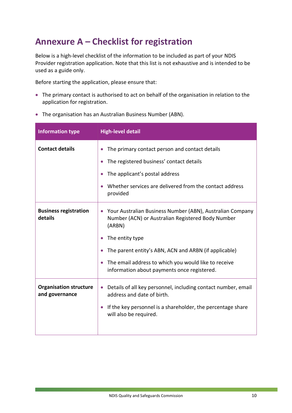## <span id="page-9-0"></span>**Annexure A – Checklist for registration**

Below is a high-level checklist of the information to be included as part of your NDIS Provider registration application. Note that this list is not exhaustive and is intended to be used as a guide only.

Before starting the application, please ensure that:

- The primary contact is authorised to act on behalf of the organisation in relation to the application for registration.
- The organisation has an Australian Business Number (ABN).

| <b>Information type</b>                         | <b>High-level detail</b>                                                                                                                                                                                                                                                                                                                           |
|-------------------------------------------------|----------------------------------------------------------------------------------------------------------------------------------------------------------------------------------------------------------------------------------------------------------------------------------------------------------------------------------------------------|
| <b>Contact details</b>                          | The primary contact person and contact details<br>$\bullet$<br>The registered business' contact details<br>$\bullet$<br>The applicant's postal address<br>Whether services are delivered from the contact address<br>provided                                                                                                                      |
| <b>Business registration</b><br>details         | Your Australian Business Number (ABN), Australian Company<br>Number (ACN) or Australian Registered Body Number<br>(ARBN)<br>The entity type<br>$\bullet$<br>The parent entity's ABN, ACN and ARBN (if applicable)<br>$\bullet$<br>The email address to which you would like to receive<br>$\bullet$<br>information about payments once registered. |
| <b>Organisation structure</b><br>and governance | Details of all key personnel, including contact number, email<br>$\bullet$<br>address and date of birth.<br>If the key personnel is a shareholder, the percentage share<br>$\bullet$<br>will also be required.                                                                                                                                     |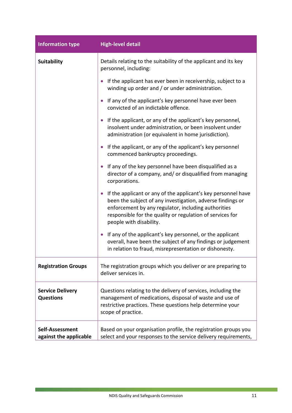| <b>Information type</b>                     | <b>High-level detail</b>                                                                                                                                                                                                                                                   |
|---------------------------------------------|----------------------------------------------------------------------------------------------------------------------------------------------------------------------------------------------------------------------------------------------------------------------------|
| <b>Suitability</b>                          | Details relating to the suitability of the applicant and its key<br>personnel, including:                                                                                                                                                                                  |
|                                             | If the applicant has ever been in receivership, subject to a<br>winding up order and / or under administration.                                                                                                                                                            |
|                                             | If any of the applicant's key personnel have ever been<br>convicted of an indictable offence.                                                                                                                                                                              |
|                                             | • If the applicant, or any of the applicant's key personnel,<br>insolvent under administration, or been insolvent under<br>administration (or equivalent in home jurisdiction).                                                                                            |
|                                             | If the applicant, or any of the applicant's key personnel<br>commenced bankruptcy proceedings.                                                                                                                                                                             |
|                                             | If any of the key personnel have been disqualified as a<br>$\bullet$<br>director of a company, and/ or disqualified from managing<br>corporations.                                                                                                                         |
|                                             | If the applicant or any of the applicant's key personnel have<br>been the subject of any investigation, adverse findings or<br>enforcement by any regulator, including authorities<br>responsible for the quality or regulation of services for<br>people with disability. |
|                                             | If any of the applicant's key personnel, or the applicant<br>$\bullet$<br>overall, have been the subject of any findings or judgement<br>in relation to fraud, misrepresentation or dishonesty.                                                                            |
| <b>Registration Groups</b>                  | The registration groups which you deliver or are preparing to<br>deliver services in.                                                                                                                                                                                      |
| <b>Service Delivery</b><br><b>Questions</b> | Questions relating to the delivery of services, including the<br>management of medications, disposal of waste and use of<br>restrictive practices. These questions help determine your<br>scope of practice.                                                               |
| Self-Assessment<br>against the applicable   | Based on your organisation profile, the registration groups you<br>select and your responses to the service delivery requirements,                                                                                                                                         |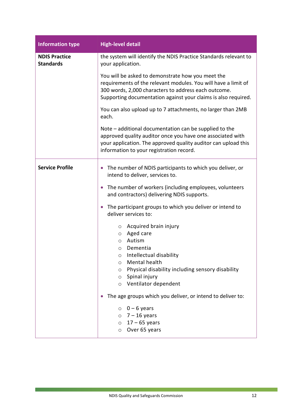| <b>Information type</b>                  | <b>High-level detail</b>                                                                                                                                                                                                                              |
|------------------------------------------|-------------------------------------------------------------------------------------------------------------------------------------------------------------------------------------------------------------------------------------------------------|
| <b>NDIS Practice</b><br><b>Standards</b> | the system will identify the NDIS Practice Standards relevant to<br>your application.                                                                                                                                                                 |
|                                          | You will be asked to demonstrate how you meet the<br>requirements of the relevant modules. You will have a limit of<br>300 words, 2,000 characters to address each outcome.<br>Supporting documentation against your claims is also required.         |
|                                          | You can also upload up to 7 attachments, no larger than 2MB<br>each.                                                                                                                                                                                  |
|                                          | Note – additional documentation can be supplied to the<br>approved quality auditor once you have one associated with<br>your application. The approved quality auditor can upload this<br>information to your registration record.                    |
| <b>Service Profile</b>                   | The number of NDIS participants to which you deliver, or<br>$\bullet$<br>intend to deliver, services to.                                                                                                                                              |
|                                          | The number of workers (including employees, volunteers<br>$\bullet$<br>and contractors) delivering NDIS supports.                                                                                                                                     |
|                                          | The participant groups to which you deliver or intend to<br>$\bullet$<br>deliver services to:                                                                                                                                                         |
|                                          | Acquired brain injury<br>$\circ$<br>Aged care<br>$\circ$<br>Autism<br>$\circ$<br>Dementia<br>$\circ$<br>Intellectual disability<br>O<br>Mental health<br>$\circ$<br>Physical disability including sensory disability<br>O<br>Spinal injury<br>$\circ$ |
|                                          | Ventilator dependent<br>$\circ$                                                                                                                                                                                                                       |
|                                          | The age groups which you deliver, or intend to deliver to:                                                                                                                                                                                            |
|                                          | $0 - 6$ years<br>$\circ$<br>$\circ$ 7 - 16 years<br>$17 - 65$ years<br>$\circ$<br>Over 65 years<br>$\circ$                                                                                                                                            |

<u> 1989 - Johann Barnett, mars et al. 1989 - Anna anno 1989 - Anna ann an t-Anna ann an t-Anna ann an t-Anna ann</u>